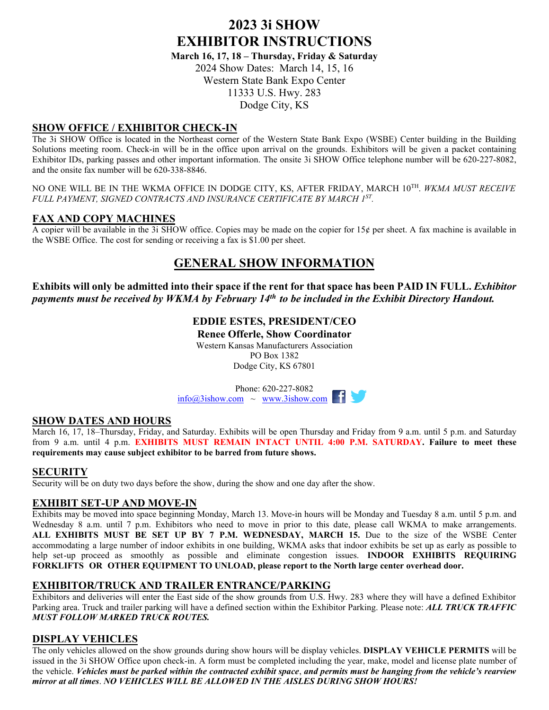# **2023 3i SHOW EXHIBITOR INSTRUCTIONS**

**March 16, 17, 18 – Thursday, Friday & Saturday** 2024 Show Dates: March 14, 15, 16 Western State Bank Expo Center 11333 U.S. Hwy. 283 Dodge City, KS

# **SHOW OFFICE / EXHIBITOR CHECK-IN**

The 3i SHOW Office is located in the Northeast corner of the Western State Bank Expo (WSBE) Center building in the Building Solutions meeting room. Check-in will be in the office upon arrival on the grounds. Exhibitors will be given a packet containing Exhibitor IDs, parking passes and other important information. The onsite 3i SHOW Office telephone number will be 620-227-8082, and the onsite fax number will be 620-338-8846.

NO ONE WILL BE IN THE WKMA OFFICE IN DODGE CITY, KS, AFTER FRIDAY, MARCH 10 TH. *WKMA MUST RECEIVE FULL PAYMENT, SIGNED CONTRACTS AND INSURANCE CERTIFICATE BY MARCH 1 ST .*

# **FAX AND COPY MACHINES**

A copier will be available in the 3i SHOW office. Copies may be made on the copier for  $15¢$  per sheet. A fax machine is available in the WSBE Office. The cost for sending or receiving a fax is \$1.00 per sheet.

# **GENERAL SHOW INFORMATION**

**Exhibits will only be admitted into their space if the rent for that space has been PAID IN FULL.** *Exhibitor payments must be received by WKMA by February 14th to be included in the Exhibit Directory Handout.*

> **EDDIE ESTES, PRESIDENT/CEO Renee Offerle, Show Coordinator** Western Kansas Manufacturers Association PO Box 1382 Dodge City, KS 67801

Phone: 620-227-8082  $\frac{\text{info@3ishow.com}}{W} \sim \frac{2.25 \times 2.002}{W}$ 

#### **SHOW DATES AND HOURS**

March 16, 17, 18–Thursday, Friday, and Saturday. Exhibits will be open Thursday and Friday from 9 a.m. until 5 p.m. and Saturday from 9 a.m. until 4 p.m. **EXHIBITS MUST REMAIN INTACT UNTIL 4:00 P.M. SATURDAY. Failure to meet these requirements may cause subject exhibitor to be barred from future shows.** 

#### **SECURITY**

Security will be on duty two days before the show, during the show and one day after the show.

#### **EXHIBIT SET-UP AND MOVE-IN**

Exhibits may be moved into space beginning Monday, March 13. Move-in hours will be Monday and Tuesday 8 a.m. until 5 p.m. and Wednesday 8 a.m. until 7 p.m. Exhibitors who need to move in prior to this date, please call WKMA to make arrangements. **ALL EXHIBITS MUST BE SET UP BY 7 P.M. WEDNESDAY, MARCH 15.** Due to the size of the WSBE Center accommodating a large number of indoor exhibits in one building, WKMA asks that indoor exhibits be set up as early as possible to help set-up proceed as smoothly as possible and eliminate congestion issues. **INDOOR EXHIBITS REQUIRING FORKLIFTS OR OTHER EQUIPMENT TO UNLOAD, please report to the North large center overhead door.**

#### **EXHIBITOR/TRUCK AND TRAILER ENTRANCE/PARKING**

Exhibitors and deliveries will enter the East side of the show grounds from U.S. Hwy. 283 where they will have a defined Exhibitor Parking area. Truck and trailer parking will have a defined section within the Exhibitor Parking. Please note: *ALL TRUCK TRAFFIC MUST FOLLOW MARKED TRUCK ROUTES.* 

# **DISPLAY VEHICLES**

The only vehicles allowed on the show grounds during show hours will be display vehicles. **DISPLAY VEHICLE PERMITS** will be issued in the 3i SHOW Office upon check-in. A form must be completed including the year, make, model and license plate number of the vehicle. *Vehicles must be parked within the contracted exhibit space*, *and permits must be hanging from the vehicle's rearview mirror at all times*. *NO VEHICLES WILL BE ALLOWED IN THE AISLES DURING SHOW HOURS!*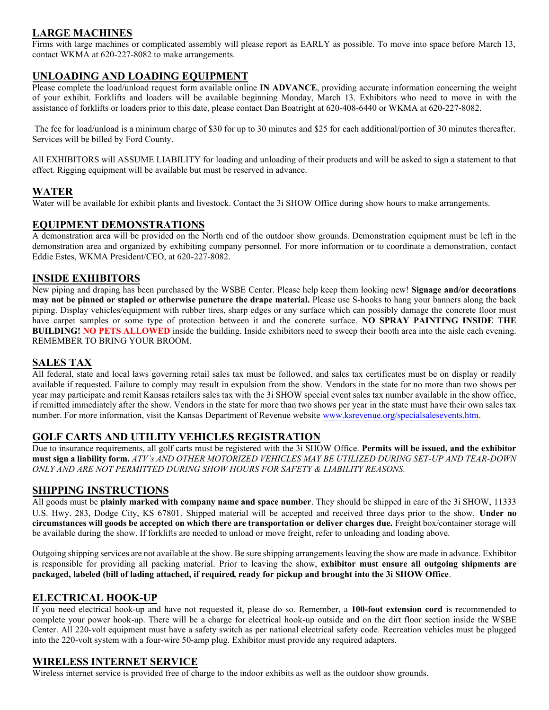# **LARGE MACHINES**

Firms with large machines or complicated assembly will please report as EARLY as possible. To move into space before March 13, contact WKMA at 620-227-8082 to make arrangements.

# **UNLOADING AND LOADING EQUIPMENT**

Please complete the load/unload request form available online **IN ADVANCE**, providing accurate information concerning the weight of your exhibit. Forklifts and loaders will be available beginning Monday, March 13. Exhibitors who need to move in with the assistance of forklifts or loaders prior to this date, please contact Dan Boatright at 620-408-6440 or WKMA at 620-227-8082.

The fee for load/unload is a minimum charge of \$30 for up to 30 minutes and \$25 for each additional/portion of 30 minutes thereafter. Services will be billed by Ford County.

All EXHIBITORS will ASSUME LIABILITY for loading and unloading of their products and will be asked to sign a statement to that effect. Rigging equipment will be available but must be reserved in advance.

#### **WATER**

Water will be available for exhibit plants and livestock. Contact the 3i SHOW Office during show hours to make arrangements.

#### **EQUIPMENT DEMONSTRATIONS**

A demonstration area will be provided on the North end of the outdoor show grounds. Demonstration equipment must be left in the demonstration area and organized by exhibiting company personnel. For more information or to coordinate a demonstration, contact Eddie Estes, WKMA President/CEO, at 620-227-8082.

#### **INSIDE EXHIBITORS**

New piping and draping has been purchased by the WSBE Center. Please help keep them looking new! **Signage and/or decorations may not be pinned or stapled or otherwise puncture the drape material.** Please use S-hooks to hang your banners along the back piping. Display vehicles/equipment with rubber tires, sharp edges or any surface which can possibly damage the concrete floor must have carpet samples or some type of protection between it and the concrete surface. **NO SPRAY PAINTING INSIDE THE BUILDING! NO PETS ALLOWED** inside the building. Inside exhibitors need to sweep their booth area into the aisle each evening. REMEMBER TO BRING YOUR BROOM.

#### **SALES TAX**

All federal, state and local laws governing retail sales tax must be followed, and sales tax certificates must be on display or readily available if requested. Failure to comply may result in expulsion from the show. Vendors in the state for no more than two shows per year may participate and remit Kansas retailers sales tax with the 3i SHOW special event sales tax number available in the show office, if remitted immediately after the show. Vendors in the state for more than two shows per year in the state must have their own sales tax number. For more information, visit the Kansas Department of Revenue websit[e www.ksrevenue.org/specialsalesevents.htm.](http://www.ksrevenue.org/specialsalesevents.htm) 

# **GOLF CARTS AND UTILITY VEHICLES REGISTRATION**

Due to insurance requirements, all golf carts must be registered with the 3i SHOW Office. **Permits will be issued, and the exhibitor must sign a liability form.** *ATV's AND OTHER MOTORIZED VEHICLES MAY BE UTILIZED DURING SET-UP AND TEAR-DOWN ONLY AND ARE NOT PERMITTED DURING SHOW HOURS FOR SAFETY & LIABILITY REASONS.*

#### **SHIPPING INSTRUCTIONS**

All goods must be **plainly marked with company name and space number**. They should be shipped in care of the 3i SHOW, 11333 U.S. Hwy. 283, Dodge City, KS 67801. Shipped material will be accepted and received three days prior to the show. **Under no circumstances will goods be accepted on which there are transportation or deliver charges due.** Freight box/container storage will be available during the show. If forklifts are needed to unload or move freight, refer to unloading and loading above.

Outgoing shipping services are not available at the show. Be sure shipping arrangements leaving the show are made in advance. Exhibitor is responsible for providing all packing material. Prior to leaving the show, **exhibitor must ensure all outgoing shipments are packaged, labeled (bill of lading attached, if required, ready for pickup and brought into the 3i SHOW Office**.

#### **ELECTRICAL HOOK-UP**

If you need electrical hook-up and have not requested it, please do so. Remember, a **100-foot extension cord** is recommended to complete your power hook-up. There will be a charge for electrical hook-up outside and on the dirt floor section inside the WSBE Center. All 220-volt equipment must have a safety switch as per national electrical safety code. Recreation vehicles must be plugged into the 220-volt system with a four-wire 50-amp plug. Exhibitor must provide any required adapters.

#### **WIRELESS INTERNET SERVICE**

Wireless internet service is provided free of charge to the indoor exhibits as well as the outdoor show grounds.